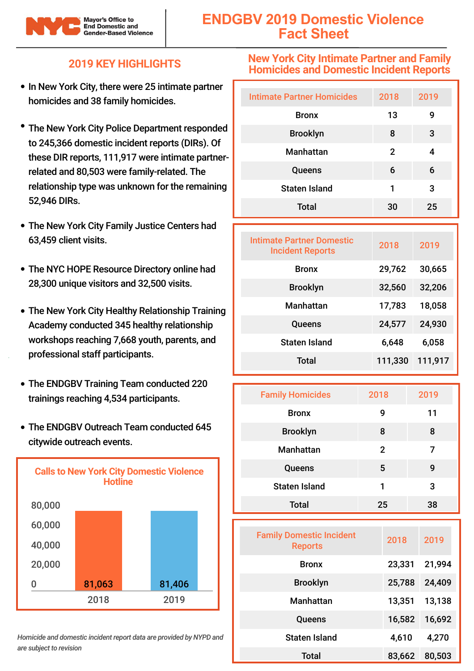

# **ENDGBV 2019 Domestic Violence Fact Sheet**

### **2019 KEY HIGHLIGHTS**

- In New York City, there were 25 intimate partner homicides and 38 family homicides.
- The New York City Police Department responded to 245,366 domestic incident reports (DIRs). Of these DIR reports, 111,917 were intimate partnerrelated and 80,503 were family-related. The relationship type was unknown for the remaining 52,946 DIRs.
- The New York City Family Justice Centers had 63,459 client visits.
- The NYC HOPE Resource Directory online had 28,300 unique visitors and 32,500 visits.
- The New York City Healthy Relationship Training Academy conducted 345 healthy relationship workshops reaching 7,668 youth, parents, and professional staff participants.
- The ENDGBV Training Team conducted 220 trainings reaching 4,534 participants.
- The ENDGBV Outreach Team conducted 645 citywide outreach events.



*Homicide and domestic incident report data are provided by NYPD and are subject to revision*

#### **New York City Intimate Partner and Family Homicides and Domestic Incident Reports**

| <b>Intimate Partner Homicides</b> | 2018 | 2019 |
|-----------------------------------|------|------|
| <b>Bronx</b>                      | 13   | 9    |
| <b>Brooklyn</b>                   | 8    | 3    |
| <b>Manhattan</b>                  | 2    | 4    |
| Queens                            | 6    | 6    |
| <b>Staten Island</b>              | 1    | 3    |
| <b>Total</b>                      | 30   | 25   |

| Intimate Partner Domestic<br><b>Incident Reports</b> | 2018    | 2019    |
|------------------------------------------------------|---------|---------|
| <b>Bronx</b>                                         | 29,762  | 30,665  |
| <b>Brooklyn</b>                                      | 32,560  | 32,206  |
| <b>Manhattan</b>                                     | 17,783  | 18,058  |
| Queens                                               | 24,577  | 24,930  |
| <b>Staten Island</b>                                 | 6,648   | 6,058   |
| Total                                                | 111,330 | 111,917 |

| <b>Family Homicides</b> | 2018           | 2019 |
|-------------------------|----------------|------|
| <b>Bronx</b>            | 9              | 11   |
| <b>Brooklyn</b>         | 8              | 8    |
| <b>Manhattan</b>        | $\overline{2}$ | 7    |
| Queens                  | 5              | g    |
| <b>Staten Island</b>    | 1              | 3    |
| <b>Total</b>            | 25             | 38   |

| <b>Family Domestic Incident</b><br><b>Reports</b> | 2018   | 2019   |
|---------------------------------------------------|--------|--------|
| <b>Bronx</b>                                      | 23,331 | 21,994 |
| <b>Brooklyn</b>                                   | 25,788 | 24,409 |
| Manhattan                                         | 13,351 | 13,138 |
| Queens                                            | 16,582 | 16,692 |
| Staten Island                                     | 4,610  | 4,270  |
| Total                                             | 83,662 | 80,503 |